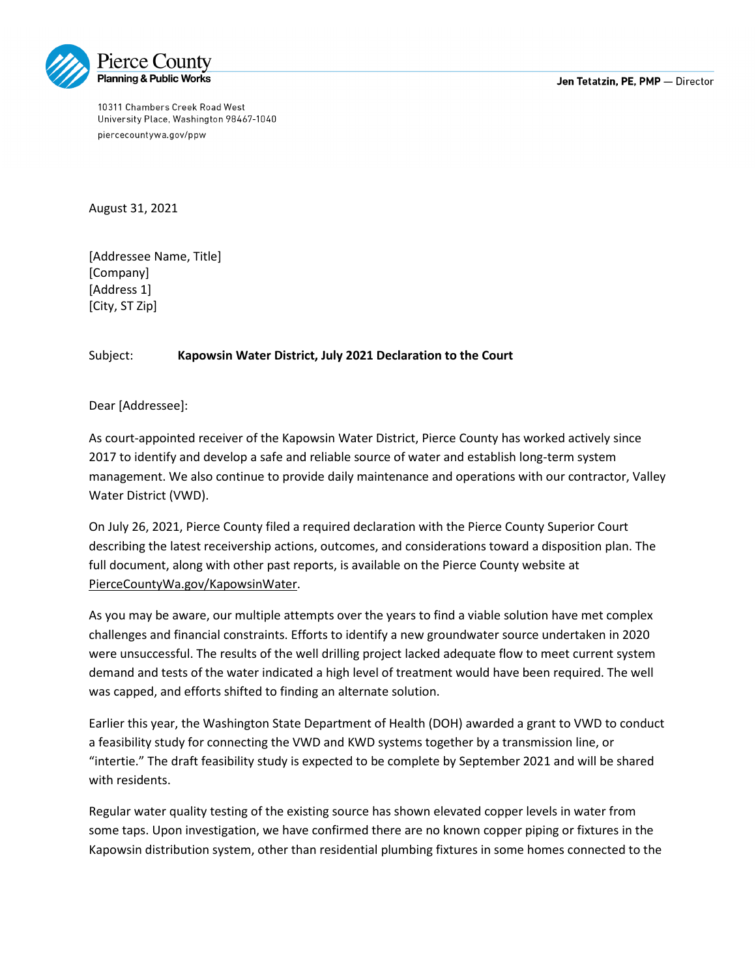10311 Chambers Creek Road West University Place, Washington 98467-1040 piercecountywa.gov/ppw

August 31, 2021

[Addressee Name, Title] [Company] [Address 1] [City, ST Zip]

## Subject: **Kapowsin Water District, July 2021 Declaration to the Court**

Dear [Addressee]:

As court-appointed receiver of the Kapowsin Water District, Pierce County has worked actively since 2017 to identify and develop a safe and reliable source of water and establish long-term system management. We also continue to provide daily maintenance and operations with our contractor, Valley Water District (VWD).

On July 26, 2021, Pierce County filed a required declaration with the Pierce County Superior Court describing the latest receivership actions, outcomes, and considerations toward a disposition plan. The full document, along with other past reports, is available on the Pierce County website at [PierceCountyWa.gov/KapowsinWater.](https://www.piercecountywa.gov/5513/Kapowsin-Water-District-Receivership)

As you may be aware, our multiple attempts over the years to find a viable solution have met complex challenges and financial constraints. Efforts to identify a new groundwater source undertaken in 2020 were unsuccessful. The results of the well drilling project lacked adequate flow to meet current system demand and tests of the water indicated a high level of treatment would have been required. The well was capped, and efforts shifted to finding an alternate solution.

Earlier this year, the Washington State Department of Health (DOH) awarded a grant to VWD to conduct a feasibility study for connecting the VWD and KWD systems together by a transmission line, or "intertie." The draft feasibility study is expected to be complete by September 2021 and will be shared with residents.

Regular water quality testing of the existing source has shown elevated copper levels in water from some taps. Upon investigation, we have confirmed there are no known copper piping or fixtures in the Kapowsin distribution system, other than residential plumbing fixtures in some homes connected to the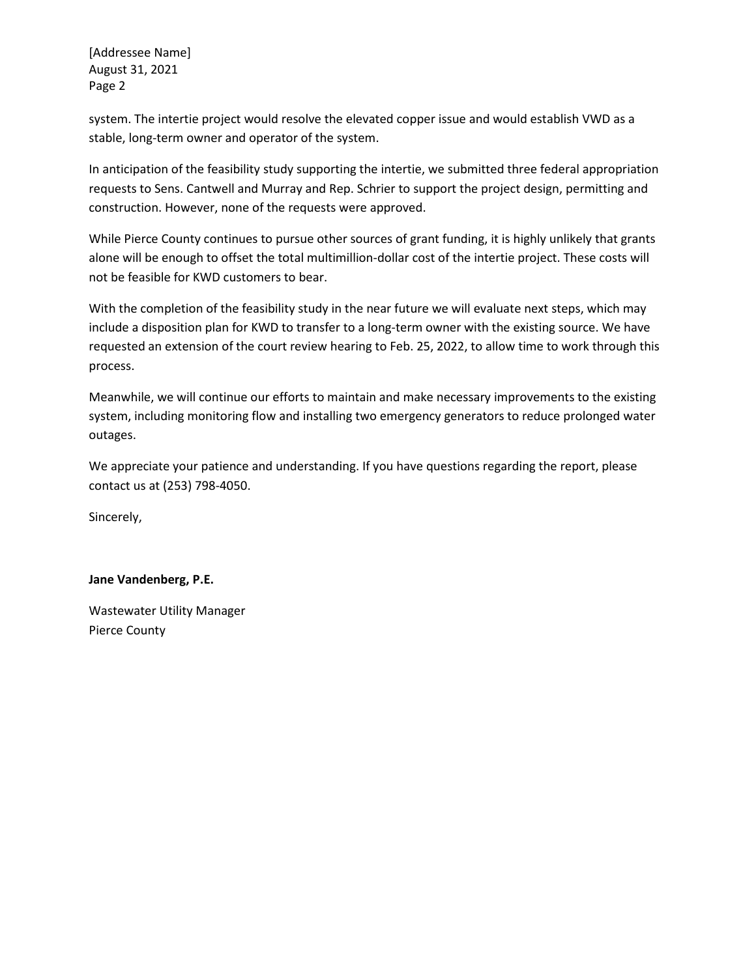[Addressee Name] August 31, 2021 Page 2

system. The intertie project would resolve the elevated copper issue and would establish VWD as a stable, long-term owner and operator of the system.

In anticipation of the feasibility study supporting the intertie, we submitted three federal appropriation requests to Sens. Cantwell and Murray and Rep. Schrier to support the project design, permitting and construction. However, none of the requests were approved.

While Pierce County continues to pursue other sources of grant funding, it is highly unlikely that grants alone will be enough to offset the total multimillion-dollar cost of the intertie project. These costs will not be feasible for KWD customers to bear.

With the completion of the feasibility study in the near future we will evaluate next steps, which may include a disposition plan for KWD to transfer to a long-term owner with the existing source. We have requested an extension of the court review hearing to Feb. 25, 2022, to allow time to work through this process.

Meanwhile, we will continue our efforts to maintain and make necessary improvements to the existing system, including monitoring flow and installing two emergency generators to reduce prolonged water outages.

We appreciate your patience and understanding. If you have questions regarding the report, please contact us at (253) 798-4050.

Sincerely,

## **Jane Vandenberg, P.E.**

Wastewater Utility Manager Pierce County